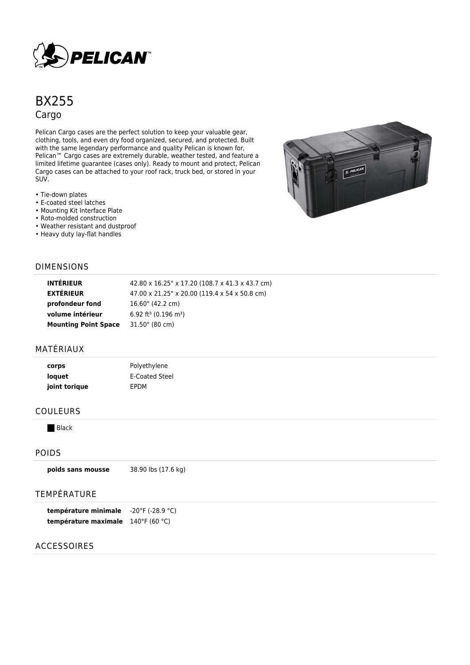

# BX255 Cargo

Pelican Cargo cases are the perfect solution to keep your valuable gear, clothing, tools, and even dry food organized, secured, and protected. Built with the same legendary performance and quality Pelican is known for, Pelican™ Cargo cases are extremely durable, weather tested, and feature a limited lifetime guarantee (cases only). Ready to mount and protect, Pelican Cargo cases can be attached to your roof rack, truck bed, or stored in your SUV.

- Tie-down plates
- E-coated steel latches
- Mounting Kit Interface Plate
- Roto-molded construction
- Weather resistant and dustproof
- Heavy duty lay-flat handles



#### DIMENSIONS

| <b>INTÉRIEUR</b>            | 42.80 x 16.25" x 17.20 (108.7 x 41.3 x 43.7 cm) |
|-----------------------------|-------------------------------------------------|
| <b>EXTÉRIEUR</b>            | 47.00 x 21.25" x 20.00 (119.4 x 54 x 50.8 cm)   |
| profondeur fond             | 16.60" (42.2 cm)                                |
| volume intérieur            | $6.92$ ft <sup>3</sup> (0.196 m <sup>3</sup> )  |
| <b>Mounting Point Space</b> | 31.50" (80 cm)                                  |

#### MATÉRIAUX

| corps         | Polyethylene   |
|---------------|----------------|
| loquet        | E-Coated Steel |
| joint torique | EPDM           |

### COULEURS

**Black** 

#### POIDS

**poids sans mousse** 38.90 lbs (17.6 kg)

## TEMPÉRATURE

**température minimale** -20°F (-28.9 °C) **température maximale** 140°F (60 °C)

### ACCESSOIRES